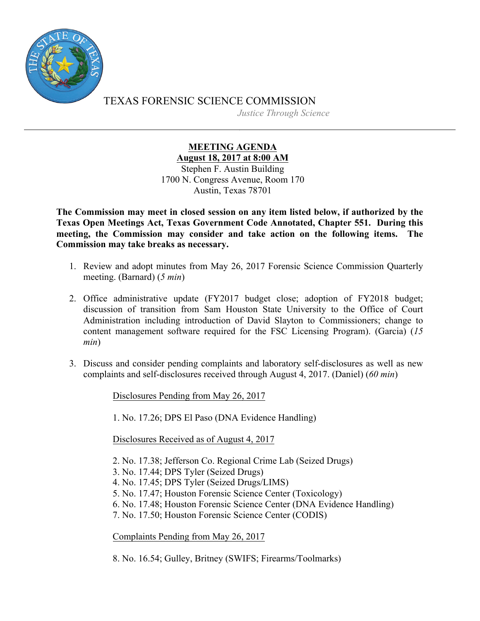

TEXAS FORENSIC SCIENCE COMMISSION *Justice Through Science*

> **MEETING AGENDA August 18, 2017 at 8:00 AM** Stephen F. Austin Building 1700 N. Congress Avenue, Room 170 Austin, Texas 78701

**The Commission may meet in closed session on any item listed below, if authorized by the Texas Open Meetings Act, Texas Government Code Annotated, Chapter 551. During this meeting, the Commission may consider and take action on the following items. The Commission may take breaks as necessary.**

- 1. Review and adopt minutes from May 26, 2017 Forensic Science Commission Quarterly meeting. (Barnard) (*5 min*)
- 2. Office administrative update (FY2017 budget close; adoption of FY2018 budget; discussion of transition from Sam Houston State University to the Office of Court Administration including introduction of David Slayton to Commissioners; change to content management software required for the FSC Licensing Program). (Garcia) (*15 min*)
- 3. Discuss and consider pending complaints and laboratory self-disclosures as well as new complaints and self-disclosures received through August 4, 2017. (Daniel) (*60 min*)

Disclosures Pending from May 26, 2017

1. No. 17.26; DPS El Paso (DNA Evidence Handling)

Disclosures Received as of August 4, 2017

2. No. 17.38; Jefferson Co. Regional Crime Lab (Seized Drugs)

- 3. No. 17.44; DPS Tyler (Seized Drugs)
- 4. No. 17.45; DPS Tyler (Seized Drugs/LIMS)
- 5. No. 17.47; Houston Forensic Science Center (Toxicology)

6. No. 17.48; Houston Forensic Science Center (DNA Evidence Handling)

7. No. 17.50; Houston Forensic Science Center (CODIS)

Complaints Pending from May 26, 2017

8. No. 16.54; Gulley, Britney (SWIFS; Firearms/Toolmarks)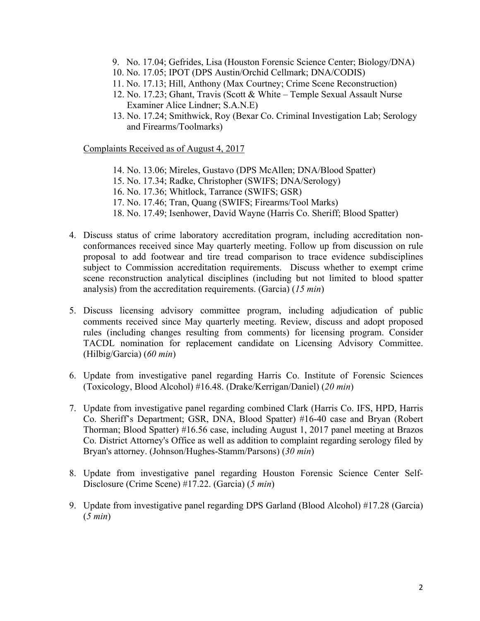- 9. No. 17.04; Gefrides, Lisa (Houston Forensic Science Center; Biology/DNA)
- 10. No. 17.05; IPOT (DPS Austin/Orchid Cellmark; DNA/CODIS)
- 11. No. 17.13; Hill, Anthony (Max Courtney; Crime Scene Reconstruction)
- 12. No. 17.23; Ghant, Travis (Scott & White Temple Sexual Assault Nurse Examiner Alice Lindner; S.A.N.E)
- 13. No. 17.24; Smithwick, Roy (Bexar Co. Criminal Investigation Lab; Serology and Firearms/Toolmarks)

Complaints Received as of August 4, 2017

- 14. No. 13.06; Mireles, Gustavo (DPS McAllen; DNA/Blood Spatter)
- 15. No. 17.34; Radke, Christopher (SWIFS; DNA/Serology)
- 16. No. 17.36; Whitlock, Tarrance (SWIFS; GSR)
- 17. No. 17.46; Tran, Quang (SWIFS; Firearms/Tool Marks)
- 18. No. 17.49; Isenhower, David Wayne (Harris Co. Sheriff; Blood Spatter)
- 4. Discuss status of crime laboratory accreditation program, including accreditation nonconformances received since May quarterly meeting. Follow up from discussion on rule proposal to add footwear and tire tread comparison to trace evidence subdisciplines subject to Commission accreditation requirements. Discuss whether to exempt crime scene reconstruction analytical disciplines (including but not limited to blood spatter analysis) from the accreditation requirements. (Garcia) (*15 min*)
- 5. Discuss licensing advisory committee program, including adjudication of public comments received since May quarterly meeting. Review, discuss and adopt proposed rules (including changes resulting from comments) for licensing program. Consider TACDL nomination for replacement candidate on Licensing Advisory Committee. (Hilbig/Garcia) (*60 min*)
- 6. Update from investigative panel regarding Harris Co. Institute of Forensic Sciences (Toxicology, Blood Alcohol) #16.48. (Drake/Kerrigan/Daniel) (*20 min*)
- 7. Update from investigative panel regarding combined Clark (Harris Co. IFS, HPD, Harris Co. Sheriff's Department; GSR, DNA, Blood Spatter) #16-40 case and Bryan (Robert Thorman; Blood Spatter) #16.56 case, including August 1, 2017 panel meeting at Brazos Co. District Attorney's Office as well as addition to complaint regarding serology filed by Bryan's attorney. (Johnson/Hughes-Stamm/Parsons) (*30 min*)
- 8. Update from investigative panel regarding Houston Forensic Science Center Self-Disclosure (Crime Scene) #17.22. (Garcia) (*5 min*)
- 9. Update from investigative panel regarding DPS Garland (Blood Alcohol) #17.28 (Garcia) (*5 min*)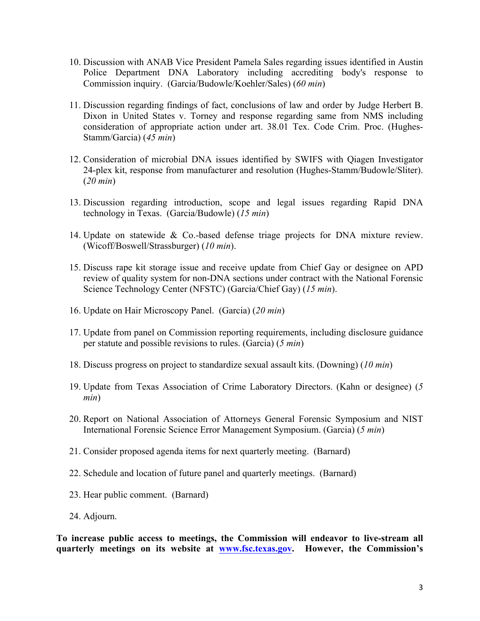- 10. Discussion with ANAB Vice President Pamela Sales regarding issues identified in Austin Police Department DNA Laboratory including accrediting body's response to Commission inquiry. (Garcia/Budowle/Koehler/Sales) (*60 min*)
- 11. Discussion regarding findings of fact, conclusions of law and order by Judge Herbert B. Dixon in United States v. Torney and response regarding same from NMS including consideration of appropriate action under art. 38.01 Tex. Code Crim. Proc. (Hughes-Stamm/Garcia) (*45 min*)
- 12. Consideration of microbial DNA issues identified by SWIFS with Qiagen Investigator 24-plex kit, response from manufacturer and resolution (Hughes-Stamm/Budowle/Sliter). (*20 min*)
- 13. Discussion regarding introduction, scope and legal issues regarding Rapid DNA technology in Texas. (Garcia/Budowle) (*15 min*)
- 14. Update on statewide & Co.-based defense triage projects for DNA mixture review. (Wicoff/Boswell/Strassburger) (*10 min*).
- 15. Discuss rape kit storage issue and receive update from Chief Gay or designee on APD review of quality system for non-DNA sections under contract with the National Forensic Science Technology Center (NFSTC) (Garcia/Chief Gay) (*15 min*).
- 16. Update on Hair Microscopy Panel. (Garcia) (*20 min*)
- 17. Update from panel on Commission reporting requirements, including disclosure guidance per statute and possible revisions to rules. (Garcia) (*5 min*)
- 18. Discuss progress on project to standardize sexual assault kits. (Downing) (*10 min*)
- 19. Update from Texas Association of Crime Laboratory Directors. (Kahn or designee) (*5 min*)
- 20. Report on National Association of Attorneys General Forensic Symposium and NIST International Forensic Science Error Management Symposium. (Garcia) (*5 min*)
- 21. Consider proposed agenda items for next quarterly meeting. (Barnard)
- 22. Schedule and location of future panel and quarterly meetings. (Barnard)
- 23. Hear public comment. (Barnard)
- 24. Adjourn.

**To increase public access to meetings, the Commission will endeavor to live-stream all quarterly meetings on its website at [www.fsc.texas.gov](http://www.fsc.state.tx.us). However, the Commission's**